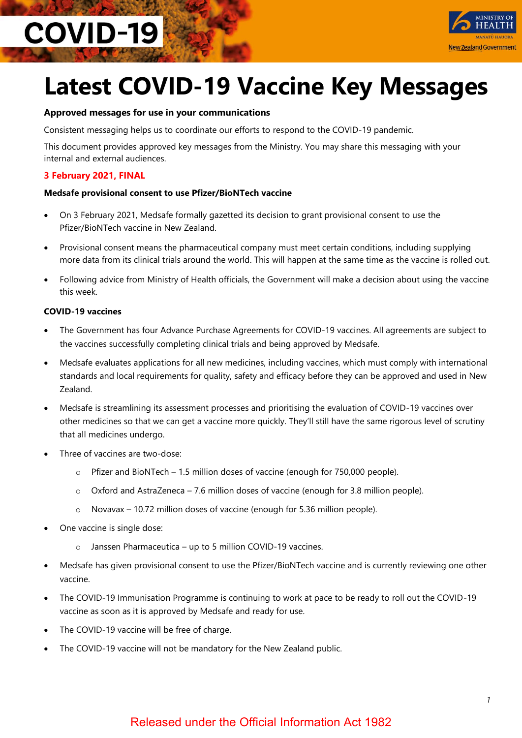# **COVID-19**



# **Latest COVID-19 Vaccine Key Messages**

#### **Approved messages for use in your communications**

Consistent messaging helps us to coordinate our efforts to respond to the COVID-19 pandemic.

This document provides approved key messages from the Ministry. You may share this messaging with your internal and external audiences.

#### **3 February 2021, FINAL**

#### **Medsafe provisional consent to use Pfizer/BioNTech vaccine**

- On 3 February 2021, Medsafe formally gazetted its decision to grant provisional consent to use the Pfizer/BioNTech vaccine in New Zealand.
- Provisional consent means the pharmaceutical company must meet certain conditions, including supplying more data from its clinical trials around the world. This will happen at the same time as the vaccine is rolled out.
- Following advice from Ministry of Health officials, the Government will make a decision about using the vaccine this week.

#### **COVID-19 vaccines**

- The Government has four Advance Purchase Agreements for COVID-19 vaccines. All agreements are subject to the vaccines successfully completing clinical trials and being approved by Medsafe.
- Medsafe evaluates applications for all new medicines, including vaccines, which must comply with international standards and local requirements for quality, safety and efficacy before they can be approved and used in New Zealand.
- Medsafe is streamlining its assessment processes and prioritising the evaluation of COVID-19 vaccines over other medicines so that we can get a vaccine more quickly. They'll still have the same rigorous level of scrutiny that all medicines undergo.
- Three of vaccines are two-dose:
	- o Pfizer and BioNTech 1.5 million doses of vaccine (enough for 750,000 people).
	- o Oxford and AstraZeneca 7.6 million doses of vaccine (enough for 3.8 million people).
	- o Novavax 10.72 million doses of vaccine (enough for 5.36 million people).
- One vaccine is single dose:
	- o Janssen Pharmaceutica up to 5 million COVID-19 vaccines.
- Medsafe has given provisional consent to use the Pfizer/BioNTech vaccine and is currently reviewing one other vaccine.
- The COVID-19 Immunisation Programme is continuing to work at pace to be ready to roll out the COVID-19 vaccine as soon as it is approved by Medsafe and ready for use.
- The COVID-19 vaccine will be free of charge.
- The COVID-19 vaccine will not be mandatory for the New Zealand public.

### Released under the Official Information Act 1982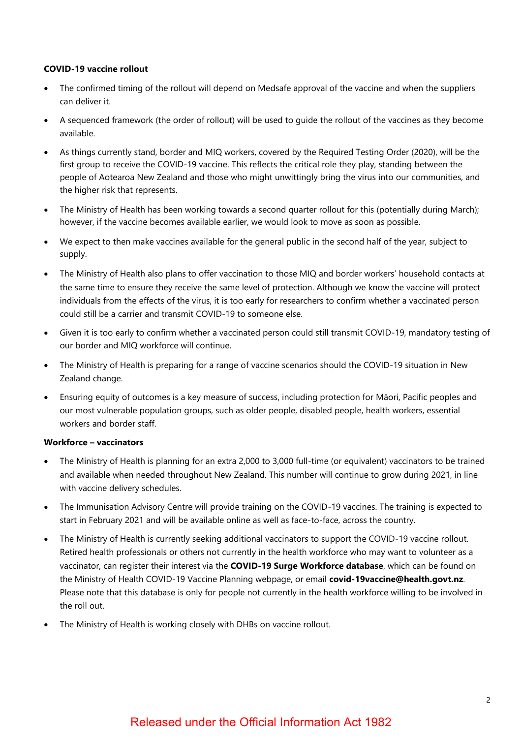#### **COVID-19 vaccine rollout**

- The confirmed timing of the rollout will depend on Medsafe approval of the vaccine and when the suppliers can deliver it.
- A sequenced framework (the order of rollout) will be used to guide the rollout of the vaccines as they become available.
- As things currently stand, border and MIQ workers, covered by the Required Testing Order (2020), will be the first group to receive the COVID-19 vaccine. This reflects the critical role they play, standing between the people of Aotearoa New Zealand and those who might unwittingly bring the virus into our communities, and the higher risk that represents.
- The Ministry of Health has been working towards a second quarter rollout for this (potentially during March); however, if the vaccine becomes available earlier, we would look to move as soon as possible.
- We expect to then make vaccines available for the general public in the second half of the year, subject to supply.
- The Ministry of Health also plans to offer vaccination to those MIQ and border workers' household contacts at the same time to ensure they receive the same level of protection. Although we know the vaccine will protect individuals from the effects of the virus, it is too early for researchers to confirm whether a vaccinated person could still be a carrier and transmit COVID-19 to someone else.
- Given it is too early to confirm whether a vaccinated person could still transmit COVID-19, mandatory testing of our border and MIQ workforce will continue.
- The Ministry of Health is preparing for a range of vaccine scenarios should the COVID-19 situation in New Zealand change.
- Ensuring equity of outcomes is a key measure of success, including protection for Māori, Pacific peoples and our most vulnerable population groups, such as older people, disabled people, health workers, essential workers and border staff.

#### **Workforce – vaccinators**

- The Ministry of Health is planning for an extra 2,000 to 3,000 full-time (or equivalent) vaccinators to be trained and available when needed throughout New Zealand. This number will continue to grow during 2021, in line with vaccine delivery schedules.
- The Immunisation Advisory Centre will provide training on the COVID-19 vaccines. The training is expected to start in February 2021 and will be available online as well as face-to-face, across the country.
- The Ministry of Health is currently seeking additional vaccinators to support the COVID-19 vaccine rollout. Retired health professionals or others not currently in the health workforce who may want to volunteer as a vaccinator, can register their interest via the **[COVID-19 Surge Workforce database](https://scanmail.trustwave.com/?c=15517&d=66CH4BpRQYBqf_rXQvUZCvckZ9FtxccGVB8piqq_7A&u=https%3a%2f%2fforms%2ezohopublic%2ecom%2eau%2fmohworkforceresponse%2fform%2fRegistrationofInterest%2fformperma%2fGeDyHg8hHrJ73txf1aLMiOnEc9UKnOd8XJKA74Y3rhk)**, which can be found on the Ministry of Health COVID-19 Vaccine Planning webpage, or email **[covid-19vaccine@health.govt.nz](mailto:xxxxxxxxxxxxxxx@xxxxxx.xxxx.xx)**. Please note that this database is only for people not currently in the health workforce willing to be involved in the roll out.
- The Ministry of Health is working closely with DHBs on vaccine rollout.

## Released under the Official Information Act 1982